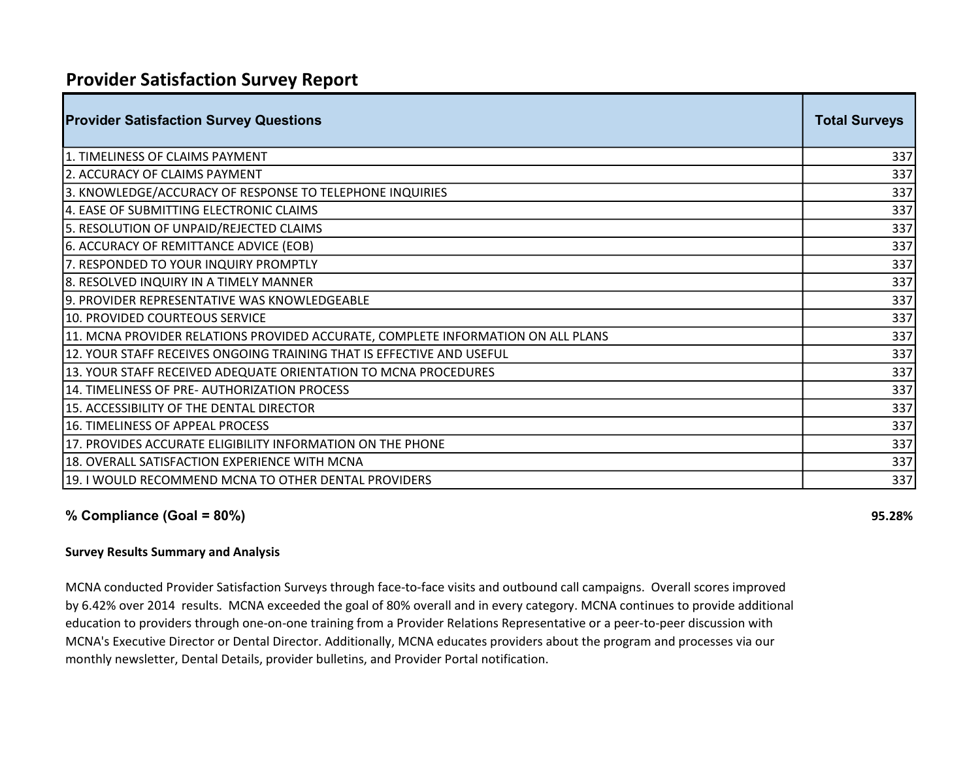## Provider Satisfaction Survey Report

| <b>Provider Satisfaction Survey Questions</b>                                    | <b>Total Surveys</b> |
|----------------------------------------------------------------------------------|----------------------|
| 1. TIMELINESS OF CLAIMS PAYMENT                                                  | 337                  |
| 2. ACCURACY OF CLAIMS PAYMENT                                                    | 337                  |
| 3. KNOWLEDGE/ACCURACY OF RESPONSE TO TELEPHONE INQUIRIES                         | 337                  |
| 4. EASE OF SUBMITTING ELECTRONIC CLAIMS                                          | 337                  |
| 5. RESOLUTION OF UNPAID/REJECTED CLAIMS                                          | 337                  |
| 6. ACCURACY OF REMITTANCE ADVICE (EOB)                                           | 337                  |
| 7. RESPONDED TO YOUR INQUIRY PROMPTLY                                            | 337                  |
| 8. RESOLVED INQUIRY IN A TIMELY MANNER                                           | 337                  |
| 9. PROVIDER REPRESENTATIVE WAS KNOWLEDGEABLE                                     | 337                  |
| 10. PROVIDED COURTEOUS SERVICE                                                   | 337                  |
| 11. MCNA PROVIDER RELATIONS PROVIDED ACCURATE, COMPLETE INFORMATION ON ALL PLANS | 337                  |
| 12. YOUR STAFF RECEIVES ONGOING TRAINING THAT IS EFFECTIVE AND USEFUL            | 337                  |
| 13. YOUR STAFF RECEIVED ADEQUATE ORIENTATION TO MCNA PROCEDURES                  | 337                  |
| 14. TIMELINESS OF PRE- AUTHORIZATION PROCESS                                     | 337                  |
| 15. ACCESSIBILITY OF THE DENTAL DIRECTOR                                         | 337                  |
| 16. TIMELINESS OF APPEAL PROCESS                                                 | 337                  |
| 17. PROVIDES ACCURATE ELIGIBILITY INFORMATION ON THE PHONE                       | 337                  |
| 18. OVERALL SATISFACTION EXPERIENCE WITH MCNA                                    | 337                  |
| 19. I WOULD RECOMMEND MCNA TO OTHER DENTAL PROVIDERS                             | 337                  |

## % Compliance  $(GoaI = 80%)$  95.28%

## Survey Results Summary and Analysis

MCNA conducted Provider Satisfaction Surveys through face-to-face visits and outbound call campaigns. Overall scores improved by 6.42% over 2014 results. MCNA exceeded the goal of 80% overall and in every category. MCNA continues to provide additional education to providers through one-on-one training from a Provider Relations Representative or a peer-to-peer discussion with MCNA's Executive Director or Dental Director. Additionally, MCNA educates providers about the program and processes via our monthly newsletter, Dental Details, provider bulletins, and Provider Portal notification.